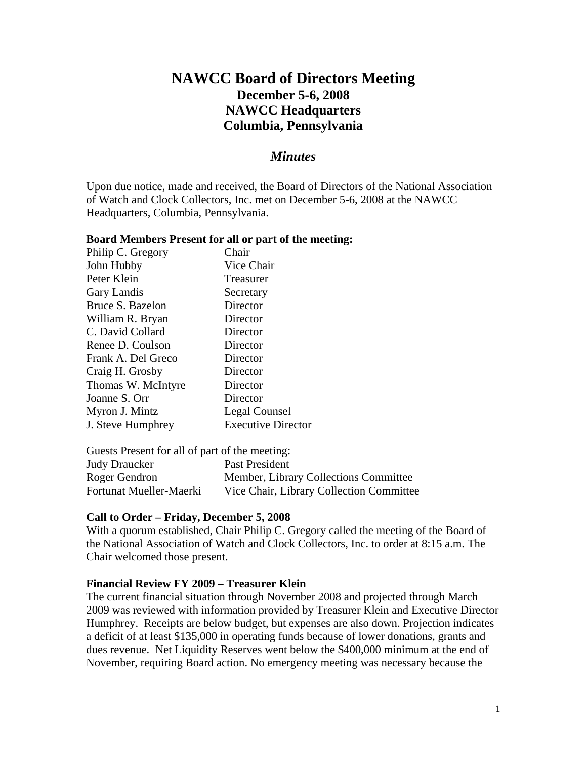# **NAWCC Board of Directors Meeting December 5-6, 2008 NAWCC Headquarters Columbia, Pennsylvania**

## *Minutes*

Upon due notice, made and received, the Board of Directors of the National Association of Watch and Clock Collectors, Inc. met on December 5-6, 2008 at the NAWCC Headquarters, Columbia, Pennsylvania.

#### **Board Members Present for all or part of the meeting:**

| Philip C. Gregory  | Chair                     |
|--------------------|---------------------------|
| John Hubby         | Vice Chair                |
| Peter Klein        | Treasurer                 |
| Gary Landis        | Secretary                 |
| Bruce S. Bazelon   | Director                  |
| William R. Bryan   | Director                  |
| C. David Collard   | Director                  |
| Renee D. Coulson   | Director                  |
| Frank A. Del Greco | Director                  |
| Craig H. Grosby    | Director                  |
| Thomas W. McIntyre | Director                  |
| Joanne S. Orr      | Director                  |
| Myron J. Mintz     | Legal Counsel             |
| J. Steve Humphrey  | <b>Executive Director</b> |

Guests Present for all of part of the meeting:

| <b>Judy Draucker</b>    | Past President                           |
|-------------------------|------------------------------------------|
| Roger Gendron           | Member, Library Collections Committee    |
| Fortunat Mueller-Maerki | Vice Chair, Library Collection Committee |

### **Call to Order – Friday, December 5, 2008**

With a quorum established, Chair Philip C. Gregory called the meeting of the Board of the National Association of Watch and Clock Collectors, Inc. to order at 8:15 a.m. The Chair welcomed those present.

### **Financial Review FY 2009 – Treasurer Klein**

The current financial situation through November 2008 and projected through March 2009 was reviewed with information provided by Treasurer Klein and Executive Director Humphrey. Receipts are below budget, but expenses are also down. Projection indicates a deficit of at least \$135,000 in operating funds because of lower donations, grants and dues revenue. Net Liquidity Reserves went below the \$400,000 minimum at the end of November, requiring Board action. No emergency meeting was necessary because the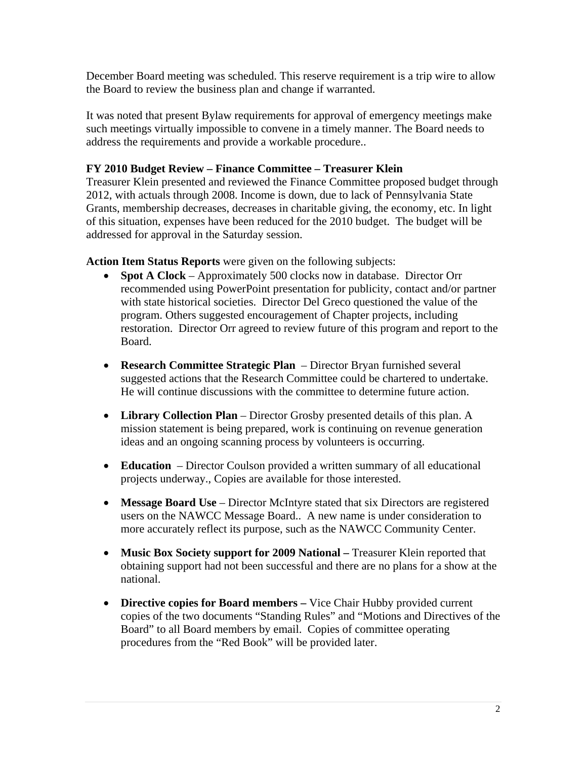December Board meeting was scheduled. This reserve requirement is a trip wire to allow the Board to review the business plan and change if warranted.

It was noted that present Bylaw requirements for approval of emergency meetings make such meetings virtually impossible to convene in a timely manner. The Board needs to address the requirements and provide a workable procedure..

### **FY 2010 Budget Review – Finance Committee – Treasurer Klein**

Treasurer Klein presented and reviewed the Finance Committee proposed budget through 2012, with actuals through 2008. Income is down, due to lack of Pennsylvania State Grants, membership decreases, decreases in charitable giving, the economy, etc. In light of this situation, expenses have been reduced for the 2010 budget. The budget will be addressed for approval in the Saturday session.

**Action Item Status Reports** were given on the following subjects:

- **Spot A Clock** Approximately 500 clocks now in database. Director Orr recommended using PowerPoint presentation for publicity, contact and/or partner with state historical societies. Director Del Greco questioned the value of the program. Others suggested encouragement of Chapter projects, including restoration. Director Orr agreed to review future of this program and report to the Board.
- **Research Committee Strategic Plan** Director Bryan furnished several suggested actions that the Research Committee could be chartered to undertake. He will continue discussions with the committee to determine future action.
- **Library Collection Plan** Director Grosby presented details of this plan. A mission statement is being prepared, work is continuing on revenue generation ideas and an ongoing scanning process by volunteers is occurring.
- **Education**  Director Coulson provided a written summary of all educational projects underway., Copies are available for those interested.
- **Message Board Use** Director McIntyre stated that six Directors are registered users on the NAWCC Message Board.. A new name is under consideration to more accurately reflect its purpose, such as the NAWCC Community Center.
- Music Box Society support for 2009 National Treasurer Klein reported that obtaining support had not been successful and there are no plans for a show at the national.
- **Directive copies for Board members** Vice Chair Hubby provided current copies of the two documents "Standing Rules" and "Motions and Directives of the Board" to all Board members by email. Copies of committee operating procedures from the "Red Book" will be provided later.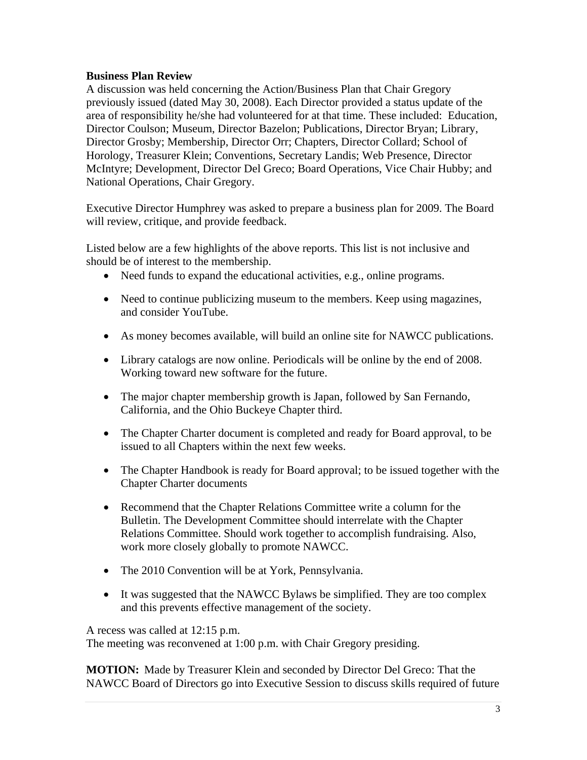#### **Business Plan Review**

A discussion was held concerning the Action/Business Plan that Chair Gregory previously issued (dated May 30, 2008). Each Director provided a status update of the area of responsibility he/she had volunteered for at that time. These included: Education, Director Coulson; Museum, Director Bazelon; Publications, Director Bryan; Library, Director Grosby; Membership, Director Orr; Chapters, Director Collard; School of Horology, Treasurer Klein; Conventions, Secretary Landis; Web Presence, Director McIntyre; Development, Director Del Greco; Board Operations, Vice Chair Hubby; and National Operations, Chair Gregory.

Executive Director Humphrey was asked to prepare a business plan for 2009. The Board will review, critique, and provide feedback.

Listed below are a few highlights of the above reports. This list is not inclusive and should be of interest to the membership.

- Need funds to expand the educational activities, e.g., online programs.
- Need to continue publicizing museum to the members. Keep using magazines, and consider YouTube.
- As money becomes available, will build an online site for NAWCC publications.
- Library catalogs are now online. Periodicals will be online by the end of 2008. Working toward new software for the future.
- The major chapter membership growth is Japan, followed by San Fernando, California, and the Ohio Buckeye Chapter third.
- The Chapter Charter document is completed and ready for Board approval, to be issued to all Chapters within the next few weeks.
- The Chapter Handbook is ready for Board approval; to be issued together with the Chapter Charter documents
- Recommend that the Chapter Relations Committee write a column for the Bulletin. The Development Committee should interrelate with the Chapter Relations Committee. Should work together to accomplish fundraising. Also, work more closely globally to promote NAWCC.
- The 2010 Convention will be at York, Pennsylvania.
- It was suggested that the NAWCC Bylaws be simplified. They are too complex and this prevents effective management of the society.

A recess was called at 12:15 p.m.

The meeting was reconvened at 1:00 p.m. with Chair Gregory presiding.

**MOTION:** Made by Treasurer Klein and seconded by Director Del Greco: That the NAWCC Board of Directors go into Executive Session to discuss skills required of future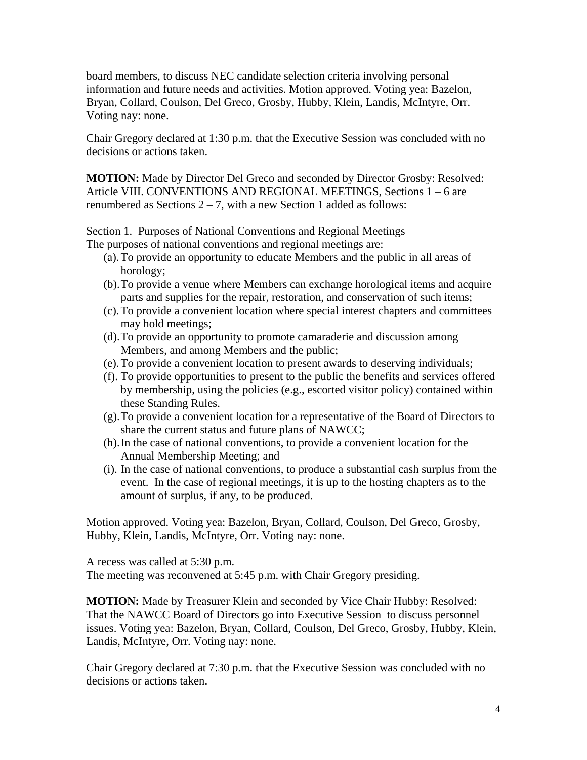board members, to discuss NEC candidate selection criteria involving personal information and future needs and activities. Motion approved. Voting yea: Bazelon, Bryan, Collard, Coulson, Del Greco, Grosby, Hubby, Klein, Landis, McIntyre, Orr. Voting nay: none.

Chair Gregory declared at 1:30 p.m. that the Executive Session was concluded with no decisions or actions taken.

**MOTION:** Made by Director Del Greco and seconded by Director Grosby: Resolved: Article VIII. CONVENTIONS AND REGIONAL MEETINGS, Sections 1 – 6 are renumbered as Sections  $2 - 7$ , with a new Section 1 added as follows:

Section 1. Purposes of National Conventions and Regional Meetings The purposes of national conventions and regional meetings are:

- (a).To provide an opportunity to educate Members and the public in all areas of horology;
- (b).To provide a venue where Members can exchange horological items and acquire parts and supplies for the repair, restoration, and conservation of such items;
- (c).To provide a convenient location where special interest chapters and committees may hold meetings;
- (d).To provide an opportunity to promote camaraderie and discussion among Members, and among Members and the public;
- (e).To provide a convenient location to present awards to deserving individuals;
- (f). To provide opportunities to present to the public the benefits and services offered by membership, using the policies (e.g., escorted visitor policy) contained within these Standing Rules.
- (g).To provide a convenient location for a representative of the Board of Directors to share the current status and future plans of NAWCC;
- (h).In the case of national conventions, to provide a convenient location for the Annual Membership Meeting; and
- (i). In the case of national conventions, to produce a substantial cash surplus from the event. In the case of regional meetings, it is up to the hosting chapters as to the amount of surplus, if any, to be produced.

Motion approved. Voting yea: Bazelon, Bryan, Collard, Coulson, Del Greco, Grosby, Hubby, Klein, Landis, McIntyre, Orr. Voting nay: none.

A recess was called at 5:30 p.m. The meeting was reconvened at 5:45 p.m. with Chair Gregory presiding.

**MOTION:** Made by Treasurer Klein and seconded by Vice Chair Hubby: Resolved: That the NAWCC Board of Directors go into Executive Session to discuss personnel issues. Voting yea: Bazelon, Bryan, Collard, Coulson, Del Greco, Grosby, Hubby, Klein, Landis, McIntyre, Orr. Voting nay: none.

Chair Gregory declared at 7:30 p.m. that the Executive Session was concluded with no decisions or actions taken.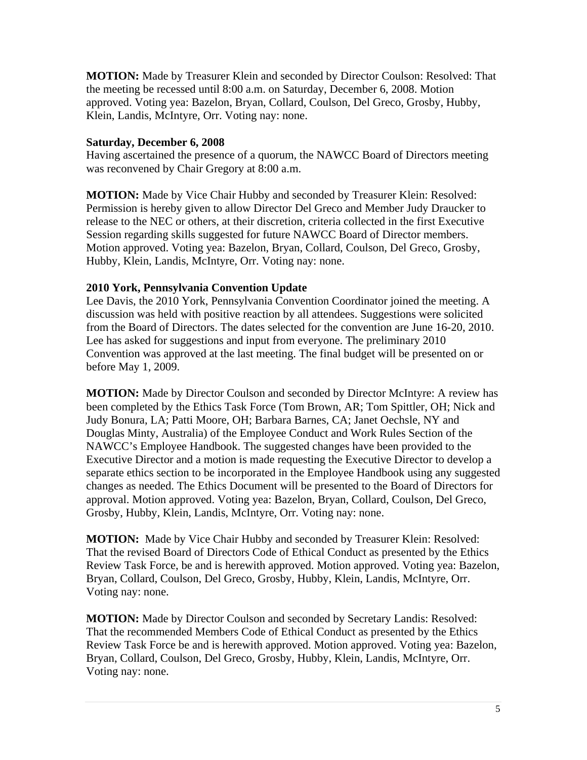**MOTION:** Made by Treasurer Klein and seconded by Director Coulson: Resolved: That the meeting be recessed until 8:00 a.m. on Saturday, December 6, 2008. Motion approved. Voting yea: Bazelon, Bryan, Collard, Coulson, Del Greco, Grosby, Hubby, Klein, Landis, McIntyre, Orr. Voting nay: none.

#### **Saturday, December 6, 2008**

Having ascertained the presence of a quorum, the NAWCC Board of Directors meeting was reconvened by Chair Gregory at 8:00 a.m.

**MOTION:** Made by Vice Chair Hubby and seconded by Treasurer Klein: Resolved: Permission is hereby given to allow Director Del Greco and Member Judy Draucker to release to the NEC or others, at their discretion, criteria collected in the first Executive Session regarding skills suggested for future NAWCC Board of Director members. Motion approved. Voting yea: Bazelon, Bryan, Collard, Coulson, Del Greco, Grosby, Hubby, Klein, Landis, McIntyre, Orr. Voting nay: none.

### **2010 York, Pennsylvania Convention Update**

Lee Davis, the 2010 York, Pennsylvania Convention Coordinator joined the meeting. A discussion was held with positive reaction by all attendees. Suggestions were solicited from the Board of Directors. The dates selected for the convention are June 16-20, 2010. Lee has asked for suggestions and input from everyone. The preliminary 2010 Convention was approved at the last meeting. The final budget will be presented on or before May 1, 2009.

**MOTION:** Made by Director Coulson and seconded by Director McIntyre: A review has been completed by the Ethics Task Force (Tom Brown, AR; Tom Spittler, OH; Nick and Judy Bonura, LA; Patti Moore, OH; Barbara Barnes, CA; Janet Oechsle, NY and Douglas Minty, Australia) of the Employee Conduct and Work Rules Section of the NAWCC's Employee Handbook. The suggested changes have been provided to the Executive Director and a motion is made requesting the Executive Director to develop a separate ethics section to be incorporated in the Employee Handbook using any suggested changes as needed. The Ethics Document will be presented to the Board of Directors for approval. Motion approved. Voting yea: Bazelon, Bryan, Collard, Coulson, Del Greco, Grosby, Hubby, Klein, Landis, McIntyre, Orr. Voting nay: none.

**MOTION:** Made by Vice Chair Hubby and seconded by Treasurer Klein: Resolved: That the revised Board of Directors Code of Ethical Conduct as presented by the Ethics Review Task Force, be and is herewith approved. Motion approved. Voting yea: Bazelon, Bryan, Collard, Coulson, Del Greco, Grosby, Hubby, Klein, Landis, McIntyre, Orr. Voting nay: none.

**MOTION:** Made by Director Coulson and seconded by Secretary Landis: Resolved: That the recommended Members Code of Ethical Conduct as presented by the Ethics Review Task Force be and is herewith approved. Motion approved. Voting yea: Bazelon, Bryan, Collard, Coulson, Del Greco, Grosby, Hubby, Klein, Landis, McIntyre, Orr. Voting nay: none.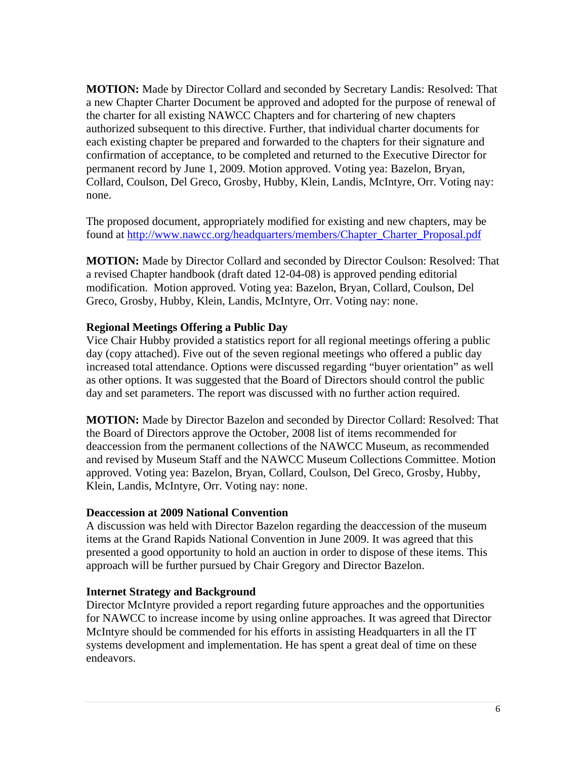**MOTION:** Made by Director Collard and seconded by Secretary Landis: Resolved: That a new Chapter Charter Document be approved and adopted for the purpose of renewal of the charter for all existing NAWCC Chapters and for chartering of new chapters authorized subsequent to this directive. Further, that individual charter documents for each existing chapter be prepared and forwarded to the chapters for their signature and confirmation of acceptance, to be completed and returned to the Executive Director for permanent record by June 1, 2009. Motion approved. Voting yea: Bazelon, Bryan, Collard, Coulson, Del Greco, Grosby, Hubby, Klein, Landis, McIntyre, Orr. Voting nay: none.

The proposed document, appropriately modified for existing and new chapters, may be found at http://www.nawcc.org/headquarters/members/Chapter\_Charter\_Proposal.pdf

**MOTION:** Made by Director Collard and seconded by Director Coulson: Resolved: That a revised Chapter handbook (draft dated 12-04-08) is approved pending editorial modification. Motion approved. Voting yea: Bazelon, Bryan, Collard, Coulson, Del Greco, Grosby, Hubby, Klein, Landis, McIntyre, Orr. Voting nay: none.

#### **Regional Meetings Offering a Public Day**

Vice Chair Hubby provided a statistics report for all regional meetings offering a public day (copy attached). Five out of the seven regional meetings who offered a public day increased total attendance. Options were discussed regarding "buyer orientation" as well as other options. It was suggested that the Board of Directors should control the public day and set parameters. The report was discussed with no further action required.

**MOTION:** Made by Director Bazelon and seconded by Director Collard: Resolved: That the Board of Directors approve the October, 2008 list of items recommended for deaccession from the permanent collections of the NAWCC Museum, as recommended and revised by Museum Staff and the NAWCC Museum Collections Committee. Motion approved. Voting yea: Bazelon, Bryan, Collard, Coulson, Del Greco, Grosby, Hubby, Klein, Landis, McIntyre, Orr. Voting nay: none.

#### **Deaccession at 2009 National Convention**

A discussion was held with Director Bazelon regarding the deaccession of the museum items at the Grand Rapids National Convention in June 2009. It was agreed that this presented a good opportunity to hold an auction in order to dispose of these items. This approach will be further pursued by Chair Gregory and Director Bazelon.

#### **Internet Strategy and Background**

Director McIntyre provided a report regarding future approaches and the opportunities for NAWCC to increase income by using online approaches. It was agreed that Director McIntyre should be commended for his efforts in assisting Headquarters in all the IT systems development and implementation. He has spent a great deal of time on these endeavors.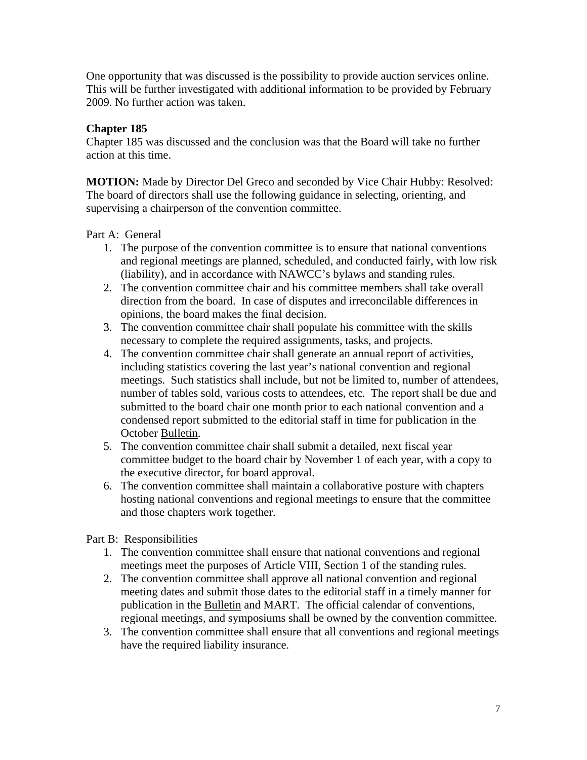One opportunity that was discussed is the possibility to provide auction services online. This will be further investigated with additional information to be provided by February 2009. No further action was taken.

## **Chapter 185**

Chapter 185 was discussed and the conclusion was that the Board will take no further action at this time.

**MOTION:** Made by Director Del Greco and seconded by Vice Chair Hubby: Resolved: The board of directors shall use the following guidance in selecting, orienting, and supervising a chairperson of the convention committee.

Part A: General

- 1. The purpose of the convention committee is to ensure that national conventions and regional meetings are planned, scheduled, and conducted fairly, with low risk (liability), and in accordance with NAWCC's bylaws and standing rules.
- 2. The convention committee chair and his committee members shall take overall direction from the board. In case of disputes and irreconcilable differences in opinions, the board makes the final decision.
- 3. The convention committee chair shall populate his committee with the skills necessary to complete the required assignments, tasks, and projects.
- 4. The convention committee chair shall generate an annual report of activities, including statistics covering the last year's national convention and regional meetings. Such statistics shall include, but not be limited to, number of attendees, number of tables sold, various costs to attendees, etc. The report shall be due and submitted to the board chair one month prior to each national convention and a condensed report submitted to the editorial staff in time for publication in the October Bulletin.
- 5. The convention committee chair shall submit a detailed, next fiscal year committee budget to the board chair by November 1 of each year, with a copy to the executive director, for board approval.
- 6. The convention committee shall maintain a collaborative posture with chapters hosting national conventions and regional meetings to ensure that the committee and those chapters work together.

Part B: Responsibilities

- 1. The convention committee shall ensure that national conventions and regional meetings meet the purposes of Article VIII, Section 1 of the standing rules.
- 2. The convention committee shall approve all national convention and regional meeting dates and submit those dates to the editorial staff in a timely manner for publication in the Bulletin and MART. The official calendar of conventions, regional meetings, and symposiums shall be owned by the convention committee.
- 3. The convention committee shall ensure that all conventions and regional meetings have the required liability insurance.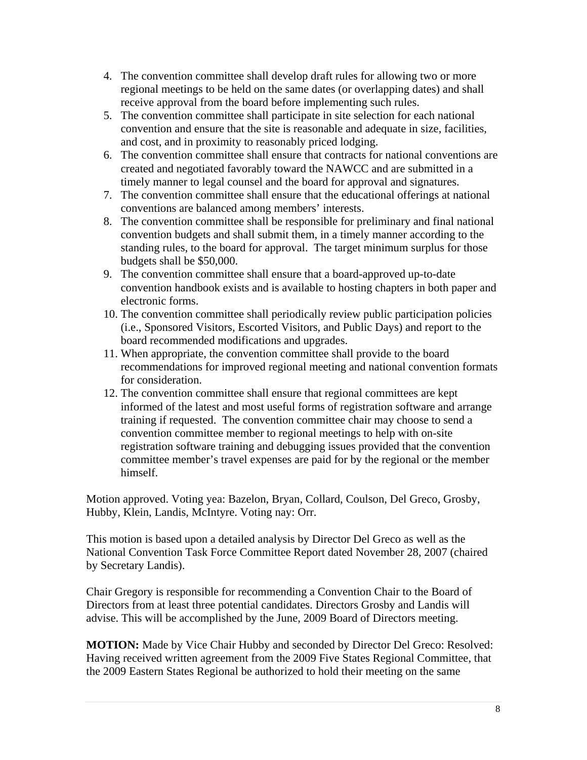- 4. The convention committee shall develop draft rules for allowing two or more regional meetings to be held on the same dates (or overlapping dates) and shall receive approval from the board before implementing such rules.
- 5. The convention committee shall participate in site selection for each national convention and ensure that the site is reasonable and adequate in size, facilities, and cost, and in proximity to reasonably priced lodging.
- 6. The convention committee shall ensure that contracts for national conventions are created and negotiated favorably toward the NAWCC and are submitted in a timely manner to legal counsel and the board for approval and signatures.
- 7. The convention committee shall ensure that the educational offerings at national conventions are balanced among members' interests.
- 8. The convention committee shall be responsible for preliminary and final national convention budgets and shall submit them, in a timely manner according to the standing rules, to the board for approval. The target minimum surplus for those budgets shall be \$50,000.
- 9. The convention committee shall ensure that a board-approved up-to-date convention handbook exists and is available to hosting chapters in both paper and electronic forms.
- 10. The convention committee shall periodically review public participation policies (i.e., Sponsored Visitors, Escorted Visitors, and Public Days) and report to the board recommended modifications and upgrades.
- 11. When appropriate, the convention committee shall provide to the board recommendations for improved regional meeting and national convention formats for consideration.
- 12. The convention committee shall ensure that regional committees are kept informed of the latest and most useful forms of registration software and arrange training if requested. The convention committee chair may choose to send a convention committee member to regional meetings to help with on-site registration software training and debugging issues provided that the convention committee member's travel expenses are paid for by the regional or the member himself.

Motion approved. Voting yea: Bazelon, Bryan, Collard, Coulson, Del Greco, Grosby, Hubby, Klein, Landis, McIntyre. Voting nay: Orr.

This motion is based upon a detailed analysis by Director Del Greco as well as the National Convention Task Force Committee Report dated November 28, 2007 (chaired by Secretary Landis).

Chair Gregory is responsible for recommending a Convention Chair to the Board of Directors from at least three potential candidates. Directors Grosby and Landis will advise. This will be accomplished by the June, 2009 Board of Directors meeting.

**MOTION:** Made by Vice Chair Hubby and seconded by Director Del Greco: Resolved: Having received written agreement from the 2009 Five States Regional Committee, that the 2009 Eastern States Regional be authorized to hold their meeting on the same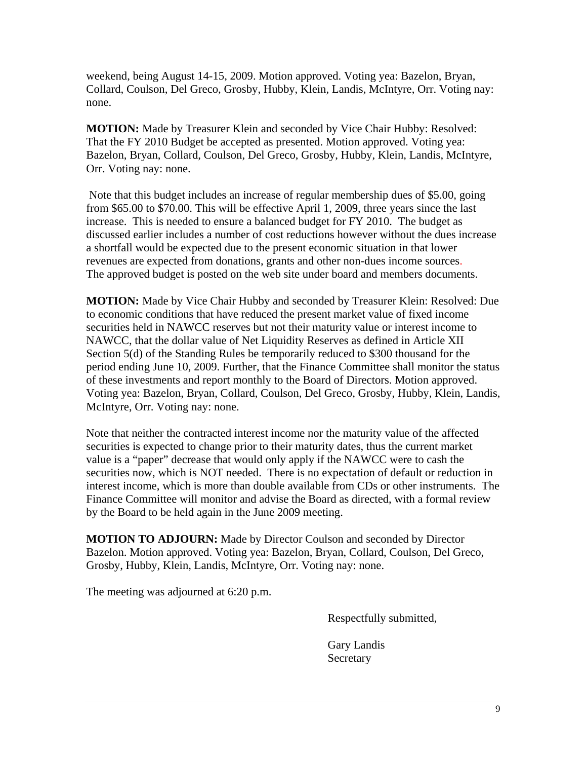weekend, being August 14-15, 2009. Motion approved. Voting yea: Bazelon, Bryan, Collard, Coulson, Del Greco, Grosby, Hubby, Klein, Landis, McIntyre, Orr. Voting nay: none.

**MOTION:** Made by Treasurer Klein and seconded by Vice Chair Hubby: Resolved: That the FY 2010 Budget be accepted as presented. Motion approved. Voting yea: Bazelon, Bryan, Collard, Coulson, Del Greco, Grosby, Hubby, Klein, Landis, McIntyre, Orr. Voting nay: none.

 Note that this budget includes an increase of regular membership dues of \$5.00, going from \$65.00 to \$70.00. This will be effective April 1, 2009, three years since the last increase. This is needed to ensure a balanced budget for FY 2010. The budget as discussed earlier includes a number of cost reductions however without the dues increase a shortfall would be expected due to the present economic situation in that lower revenues are expected from donations, grants and other non-dues income sources. The approved budget is posted on the web site under board and members documents.

**MOTION:** Made by Vice Chair Hubby and seconded by Treasurer Klein: Resolved: Due to economic conditions that have reduced the present market value of fixed income securities held in NAWCC reserves but not their maturity value or interest income to NAWCC, that the dollar value of Net Liquidity Reserves as defined in Article XII Section 5(d) of the Standing Rules be temporarily reduced to \$300 thousand for the period ending June 10, 2009. Further, that the Finance Committee shall monitor the status of these investments and report monthly to the Board of Directors. Motion approved. Voting yea: Bazelon, Bryan, Collard, Coulson, Del Greco, Grosby, Hubby, Klein, Landis, McIntyre, Orr. Voting nay: none.

Note that neither the contracted interest income nor the maturity value of the affected securities is expected to change prior to their maturity dates, thus the current market value is a "paper" decrease that would only apply if the NAWCC were to cash the securities now, which is NOT needed. There is no expectation of default or reduction in interest income, which is more than double available from CDs or other instruments. The Finance Committee will monitor and advise the Board as directed, with a formal review by the Board to be held again in the June 2009 meeting.

**MOTION TO ADJOURN:** Made by Director Coulson and seconded by Director Bazelon. Motion approved. Voting yea: Bazelon, Bryan, Collard, Coulson, Del Greco, Grosby, Hubby, Klein, Landis, McIntyre, Orr. Voting nay: none.

The meeting was adjourned at 6:20 p.m.

Respectfully submitted,

 Gary Landis Secretary